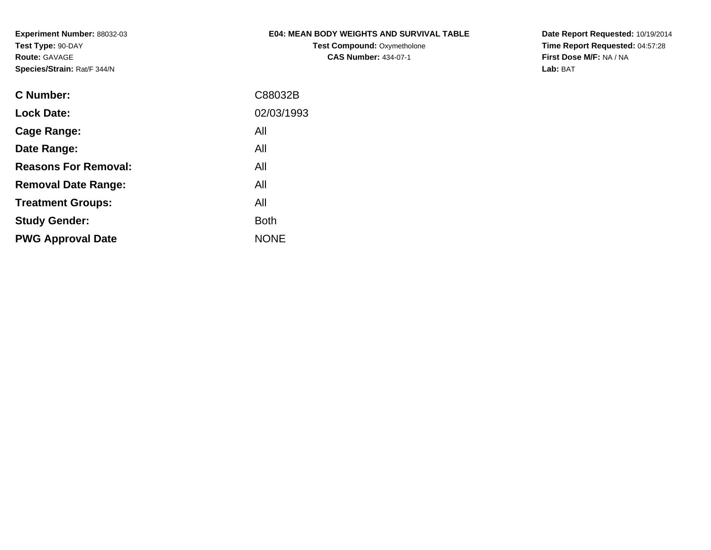**Experiment Number:** 88032-03**Test Type:** 90-DAY**Route:** GAVAGE**Species/Strain:** Rat/F 344/N

# **E04: MEAN BODY WEIGHTS AND SURVIVAL TABLE**

**Test Compound:** Oxymetholone**CAS Number:** 434-07-1

**Date Report Requested:** 10/19/2014 **Time Report Requested:** 04:57:28**First Dose M/F:** NA / NA**Lab:** BAT

| C88032B     |
|-------------|
| 02/03/1993  |
| All         |
| All         |
| All         |
| All         |
| All         |
| <b>Both</b> |
| <b>NONE</b> |
|             |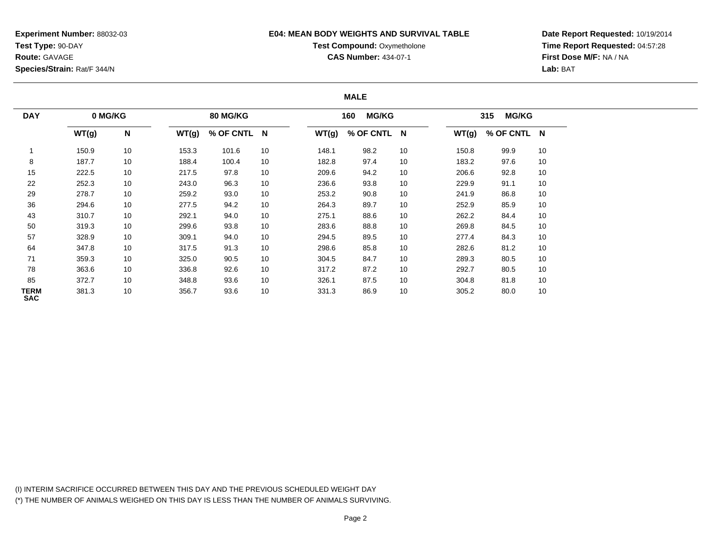**Experiment Number:** 88032-03**Test Type:** 90-DAY**Route:** GAVAGE**Species/Strain:** Rat/F 344/N

## **E04: MEAN BODY WEIGHTS AND SURVIVAL TABLE**

# **Test Compound: Oxymetholone**

**CAS Number:** 434-07-1

**Date Report Requested:** 10/19/2014**Time Report Requested:** 04:57:28**First Dose M/F:** NA / NA**Lab:** BAT

### **MALE**

| <b>DAY</b>         | 0 MG/KG |    |       | <b>80 MG/KG</b> |    |       | <b>MG/KG</b><br>160 |    |       | <b>MG/KG</b><br>315 |    |
|--------------------|---------|----|-------|-----------------|----|-------|---------------------|----|-------|---------------------|----|
|                    | WT(g)   | N  | WT(g) | % OF CNTL N     |    | WT(g) | % OF CNTL N         |    | WT(g) | % OF CNTL N         |    |
|                    | 150.9   | 10 | 153.3 | 101.6           | 10 | 148.1 | 98.2                | 10 | 150.8 | 99.9                | 10 |
| 8                  | 187.7   | 10 | 188.4 | 100.4           | 10 | 182.8 | 97.4                | 10 | 183.2 | 97.6                | 10 |
| 15                 | 222.5   | 10 | 217.5 | 97.8            | 10 | 209.6 | 94.2                | 10 | 206.6 | 92.8                | 10 |
| 22                 | 252.3   | 10 | 243.0 | 96.3            | 10 | 236.6 | 93.8                | 10 | 229.9 | 91.1                | 10 |
| 29                 | 278.7   | 10 | 259.2 | 93.0            | 10 | 253.2 | 90.8                | 10 | 241.9 | 86.8                | 10 |
| 36                 | 294.6   | 10 | 277.5 | 94.2            | 10 | 264.3 | 89.7                | 10 | 252.9 | 85.9                | 10 |
| 43                 | 310.7   | 10 | 292.1 | 94.0            | 10 | 275.1 | 88.6                | 10 | 262.2 | 84.4                | 10 |
| 50                 | 319.3   | 10 | 299.6 | 93.8            | 10 | 283.6 | 88.8                | 10 | 269.8 | 84.5                | 10 |
| 57                 | 328.9   | 10 | 309.1 | 94.0            | 10 | 294.5 | 89.5                | 10 | 277.4 | 84.3                | 10 |
| 64                 | 347.8   | 10 | 317.5 | 91.3            | 10 | 298.6 | 85.8                | 10 | 282.6 | 81.2                | 10 |
| 71                 | 359.3   | 10 | 325.0 | 90.5            | 10 | 304.5 | 84.7                | 10 | 289.3 | 80.5                | 10 |
| 78                 | 363.6   | 10 | 336.8 | 92.6            | 10 | 317.2 | 87.2                | 10 | 292.7 | 80.5                | 10 |
| 85                 | 372.7   | 10 | 348.8 | 93.6            | 10 | 326.1 | 87.5                | 10 | 304.8 | 81.8                | 10 |
| TERM<br><b>SAC</b> | 381.3   | 10 | 356.7 | 93.6            | 10 | 331.3 | 86.9                | 10 | 305.2 | 80.0                | 10 |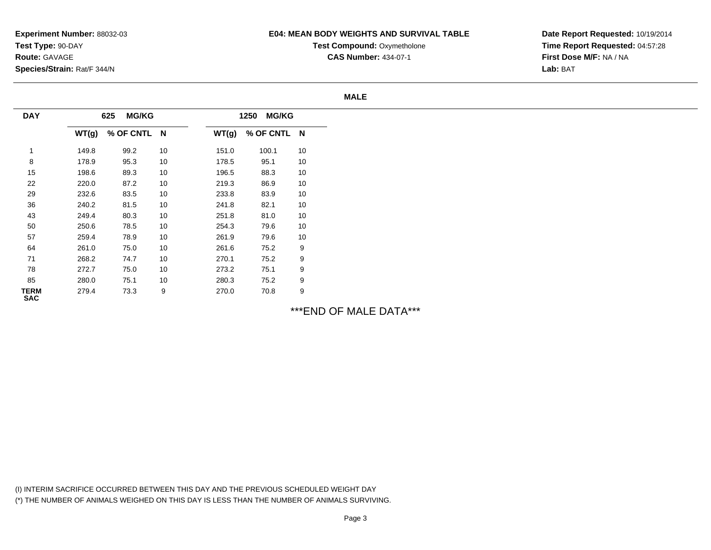## **E04: MEAN BODY WEIGHTS AND SURVIVAL TABLE**

**Test Compound: Oxymetholone** 

**CAS Number:** 434-07-1

**Date Report Requested:** 10/19/2014**Time Report Requested:** 04:57:28**First Dose M/F:** NA / NA**Lab:** BAT

#### **MALE**

| <b>DAY</b>                |       | <b>MG/KG</b><br>625 |    |       | <b>MG/KG</b><br>1250 |    |
|---------------------------|-------|---------------------|----|-------|----------------------|----|
|                           | WT(g) | % OF CNTL N         |    | WT(g) | % OF CNTL N          |    |
| 1                         | 149.8 | 99.2                | 10 | 151.0 | 100.1                | 10 |
| 8                         | 178.9 | 95.3                | 10 | 178.5 | 95.1                 | 10 |
| 15                        | 198.6 | 89.3                | 10 | 196.5 | 88.3                 | 10 |
| 22                        | 220.0 | 87.2                | 10 | 219.3 | 86.9                 | 10 |
| 29                        | 232.6 | 83.5                | 10 | 233.8 | 83.9                 | 10 |
| 36                        | 240.2 | 81.5                | 10 | 241.8 | 82.1                 | 10 |
| 43                        | 249.4 | 80.3                | 10 | 251.8 | 81.0                 | 10 |
| 50                        | 250.6 | 78.5                | 10 | 254.3 | 79.6                 | 10 |
| 57                        | 259.4 | 78.9                | 10 | 261.9 | 79.6                 | 10 |
| 64                        | 261.0 | 75.0                | 10 | 261.6 | 75.2                 | 9  |
| 71                        | 268.2 | 74.7                | 10 | 270.1 | 75.2                 | 9  |
| 78                        | 272.7 | 75.0                | 10 | 273.2 | 75.1                 | 9  |
| 85                        | 280.0 | 75.1                | 10 | 280.3 | 75.2                 | 9  |
| <b>TERM</b><br><b>SAC</b> | 279.4 | 73.3                | 9  | 270.0 | 70.8                 | 9  |

\*\*\*END OF MALE DATA\*\*\*

(I) INTERIM SACRIFICE OCCURRED BETWEEN THIS DAY AND THE PREVIOUS SCHEDULED WEIGHT DAY(\*) THE NUMBER OF ANIMALS WEIGHED ON THIS DAY IS LESS THAN THE NUMBER OF ANIMALS SURVIVING.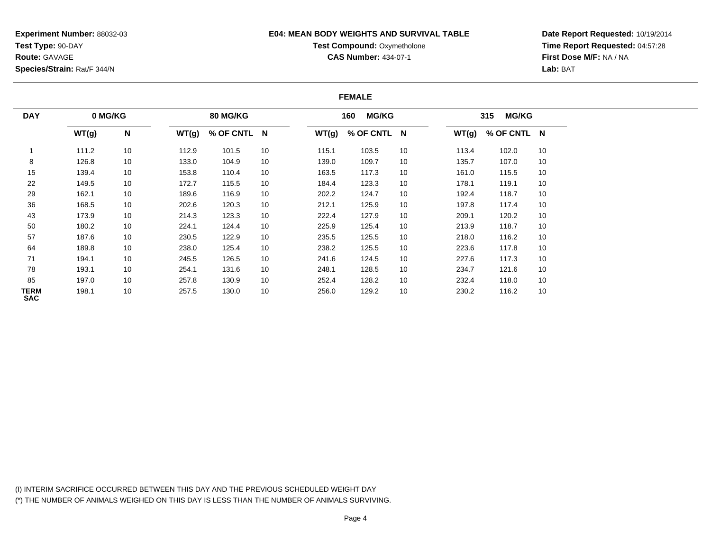**Experiment Number:** 88032-03**Test Type:** 90-DAY**Route:** GAVAGE**Species/Strain:** Rat/F 344/N

## **E04: MEAN BODY WEIGHTS AND SURVIVAL TABLE**

# **Test Compound: Oxymetholone**

**CAS Number:** 434-07-1

**Date Report Requested:** 10/19/2014**Time Report Requested:** 04:57:28**First Dose M/F:** NA / NA**Lab:** BAT

### **FEMALE**

| <b>DAY</b>                | 0 MG/KG |                           |       | 80 MG/KG    |    |       | <b>MG/KG</b><br>160 |    |       | <b>MG/KG</b><br>315 |    |
|---------------------------|---------|---------------------------|-------|-------------|----|-------|---------------------|----|-------|---------------------|----|
|                           | WT(g)   | $\boldsymbol{\mathsf{N}}$ | WT(g) | % OF CNTL N |    | WT(g) | % OF CNTL N         |    | WT(g) | % OF CNTL N         |    |
|                           | 111.2   | 10                        | 112.9 | 101.5       | 10 | 115.1 | 103.5               | 10 | 113.4 | 102.0               | 10 |
| 8                         | 126.8   | 10                        | 133.0 | 104.9       | 10 | 139.0 | 109.7               | 10 | 135.7 | 107.0               | 10 |
| 15                        | 139.4   | 10                        | 153.8 | 110.4       | 10 | 163.5 | 117.3               | 10 | 161.0 | 115.5               | 10 |
| 22                        | 149.5   | 10                        | 172.7 | 115.5       | 10 | 184.4 | 123.3               | 10 | 178.1 | 119.1               | 10 |
| 29                        | 162.1   | 10                        | 189.6 | 116.9       | 10 | 202.2 | 124.7               | 10 | 192.4 | 118.7               | 10 |
| 36                        | 168.5   | 10                        | 202.6 | 120.3       | 10 | 212.1 | 125.9               | 10 | 197.8 | 117.4               | 10 |
| 43                        | 173.9   | 10                        | 214.3 | 123.3       | 10 | 222.4 | 127.9               | 10 | 209.1 | 120.2               | 10 |
| 50                        | 180.2   | 10                        | 224.1 | 124.4       | 10 | 225.9 | 125.4               | 10 | 213.9 | 118.7               | 10 |
| 57                        | 187.6   | 10                        | 230.5 | 122.9       | 10 | 235.5 | 125.5               | 10 | 218.0 | 116.2               | 10 |
| 64                        | 189.8   | 10                        | 238.0 | 125.4       | 10 | 238.2 | 125.5               | 10 | 223.6 | 117.8               | 10 |
| 71                        | 194.1   | 10                        | 245.5 | 126.5       | 10 | 241.6 | 124.5               | 10 | 227.6 | 117.3               | 10 |
| 78                        | 193.1   | 10                        | 254.1 | 131.6       | 10 | 248.1 | 128.5               | 10 | 234.7 | 121.6               | 10 |
| 85                        | 197.0   | 10                        | 257.8 | 130.9       | 10 | 252.4 | 128.2               | 10 | 232.4 | 118.0               | 10 |
| <b>TERM</b><br><b>SAC</b> | 198.1   | 10                        | 257.5 | 130.0       | 10 | 256.0 | 129.2               | 10 | 230.2 | 116.2               | 10 |

(I) INTERIM SACRIFICE OCCURRED BETWEEN THIS DAY AND THE PREVIOUS SCHEDULED WEIGHT DAY(\*) THE NUMBER OF ANIMALS WEIGHED ON THIS DAY IS LESS THAN THE NUMBER OF ANIMALS SURVIVING.